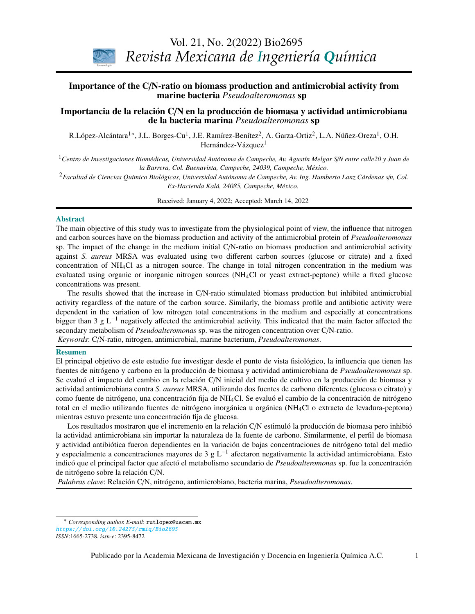

# **Importance of the C/N-ratio on biomass production and antimicrobial activity from** marine bacteria *Pseudoalteromonas* sp

#### Importancia de la relación C/N en la producción de biomasa y actividad antimicrobiana de la bacteria marina *Pseudoalteromonas* sp

R.López-Alcántara<sup>1</sup>\*, J.L. Borges-Cu<sup>1</sup>, J.E. Ramírez-Benítez<sup>2</sup>, A. Garza-Ortiz<sup>2</sup>, L.A. Núñez-Oreza<sup>1</sup>, O.H. Hernández-Vázquez $^1$ 

*Stephen Whitaker* <sup>1</sup>*Centro de Investigaciones Biomédicas, Universidad Autónoma de Campeche, Av. Agustín Melgar S*/*N entre calle20 y Juan de la Barrera, Col. Buenavista, Campeche, 24039, Campeche, México.*

*Biotecnología / Biotechnology Ex-Hacienda Kalá, 24085, Campeche, México.* <sup>2</sup>*Facultad de Ciencias Químico Biológicas, Universidad Autónoma de Campeche, Av. Ing. Humberto Lanz Cárdenas s*/*n, Col.*

Received: January 4, 2022; Accepted: March 14, 2022

#### Abstract

The main objective of this study was to investigate from the physiological point of view, the influence that nitrogen and carbon sources have on the biomass production and activity of the antimicrobial protein of *Pseudoalteromonas* sp. The impact of the change in the medium initial C/N-ratio on biomass production and antimicrobial activity against *S. aureus* MRSA was evaluated using two different carbon sources (glucose or citrate) and a fixed evaluated using organic or inorganic nitrogen sources (NH<sub>4</sub>Cl or yeast extract-peptone) while a fixed glucose (Growth, survival and adaptation of *Bifidobacterium infantis* to acidic conditions) concentration of  $NH<sub>4</sub>Cl$  as a nitrogen source. The change in total nitrogen concentration in the medium was concentrations was present.

The results showed that the increase in C/N-ratio stimulated biomass production but inhibited antimicrobial *Espinosa*  dependent in the variation of low nitrogen total concentrations in the medium and especially at concentrations bigger than 3 g L<sup>−1</sup> negatively affected the antimicrobial activity. This indicated that the main factor affected the secondary metabolism of *Pseudoalteromonas* sp. was the nitrogen concentration over C/N-ratio. activity regardless of the nature of the carbon source. Similarly, the biomass profile and antibiotic activity were *Keywords*: C/N-ratio, nitrogen, antimicrobial, marine bacterium, *Pseudoalteromonas*.

(Optimización estadística de la fermentación etanólica de *Saccharomyces cerevisiae* en presencia de

#### Resumen

el principal objetivo de este estudio fue investigar desde el punto de vista fisiológico, la influencia que tienen las *G. Inei-Shizukawa, H. A. Velasco-Bedrán, G. F. Gutiérrez-López and H. Hernández-Sánchez*  fuentes de nitrógeno y carbono en la producción de biomasa y actividad antimicrobiana de *Pseudoalteromonas* sp. *Ingeniería de procesos / Process engineering*  actividad antimicrobiana contra *S. aureus* MRSA, utilizando dos fuentes de carbono diferentes (glucosa o citrato) y como fuente de nitrógeno, una concentración fija de NH<sub>4</sub>Cl. Se evaluó el cambio de la concentración de nitrógeno esta decisión mientras estuvo presente una concentración fija de glucosa. Se evaluó el impacto del cambio en la relación C/N inicial del medio de cultivo en la producción de biomasa y total en el medio utilizando fuentes de nitrógeno inorgánica u orgánica (NH4Cl o extracto de levadura-peptona)

Los resultados mostraron que el incremento en la relación C/N estimuló la producción de biomasa pero inhibió la actividad antimicrobiana sin importar la naturaleza de la fuente de carbono. Similarmente, el perfil de biomasa y actividad antibiótica fueron dependientes en la variación de bajas concentraciones de nitrógeno total del medio y especialmente a concentraciones mayores de 3 g L<sup>-1</sup> afectaron negativamente la actividad antimicrobiana. Esto indicó que el principal factor que afectó el metabolismo secundario de *Pseudoalteromonas* sp. fue la concentración de nitrógeno sobre la relación C/N.

*Palabras clave*: Relación C/N, nitrógeno, antimicrobiano, bacteria marina, *Pseudoalteromonas*.

<span id="page-0-0"></span><sup>\*</sup> *Corresponding author. E-mail*: rutlopez@uacam.mx

<https://doi.org/10.24275/rmiq/Bio2695>

*ISSN*:1665-2738, *issn-e*: 2395-8472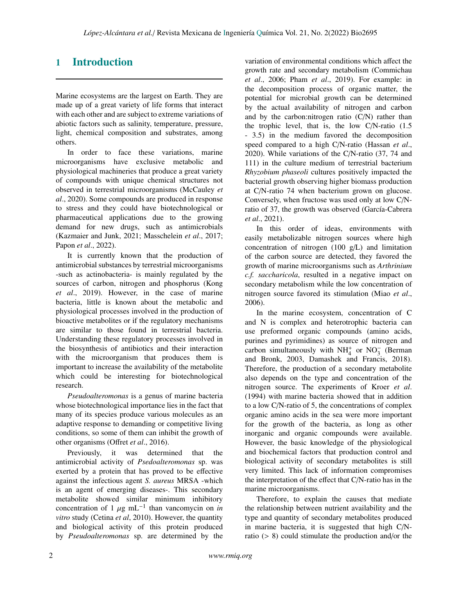## 1 Introduction

Marine ecosystems are the largest on Earth. They are made up of a great variety of life forms that interact with each other and are subject to extreme variations of abiotic factors such as salinity, temperature, pressure, light, chemical composition and substrates, among others.

In order to face these variations, marine microorganisms have exclusive metabolic and physiological machineries that produce a great variety of compounds with unique chemical structures not observed in terrestrial microorganisms (McCauley *et al*., 2020). Some compounds are produced in response to stress and they could have biotechnological or pharmaceutical applications due to the growing demand for new drugs, such as antimicrobials (Kazmaier and Junk, 2021; Masschelein *et al*., 2017; Papon *et al*., 2022).

It is currently known that the production of antimicrobial substances by terrestrial microorganisms -such as actinobacteria- is mainly regulated by the sources of carbon, nitrogen and phosphorus (Kong *et al*., 2019). However, in the case of marine bacteria, little is known about the metabolic and physiological processes involved in the production of bioactive metabolites or if the regulatory mechanisms are similar to those found in terrestrial bacteria. Understanding these regulatory processes involved in the biosynthesis of antibiotics and their interaction with the microorganism that produces them is important to increase the availability of the metabolite which could be interesting for biotechnological research.

*Pseudoalteromonas* is a genus of marine bacteria whose biotechnological importance lies in the fact that many of its species produce various molecules as an adaptive response to demanding or competitive living conditions, so some of them can inhibit the growth of other organisms (Offret *et al*., 2016).

Previously, it was determined that the antimicrobial activity of *Psedoalteromonas* sp. was exerted by a protein that has proved to be effective against the infectious agent *S. aureus* MRSA -which is an agent of emerging diseases-. This secondary metabolite showed similar minimum inhibitory concentration of 1  $\mu$ g mL<sup>-1</sup> than vancomycin on *in* vitro study (Cetina et al. 2010). However the quantity *vitro* study (Cetina *et al*, 2010). However, the quantity and biological activity of this protein produced by *Pseudoalteromonas* sp. are determined by the variation of environmental conditions which affect the growth rate and secondary metabolism (Commichau *et al*., 2006; Pham *et al*., 2019). For example: in the decomposition process of organic matter, the potential for microbial growth can be determined by the actual availability of nitrogen and carbon and by the carbon:nitrogen ratio (C/N) rather than the trophic level, that is, the low C/N-ratio (1.5 - 3.5) in the medium favored the decomposition speed compared to a high C/N-ratio (Hassan *et al*., 2020). While variations of the C/N-ratio (37, 74 and 111) in the culture medium of terrestrial bacterium *Rhyzobium phaseoli* cultures positively impacted the bacterial growth observing higher biomass production at C/N-ratio 74 when bacterium grown on glucose. Conversely, when fructose was used only at low C/Nratio of 37, the growth was observed (García-Cabrera *et al*., 2021).

In this order of ideas, environments with easily metabolizable nitrogen sources where high concentration of nitrogen  $(100 \text{ g/L})$  and limitation of the carbon source are detected, they favored the growth of marine microorganisms such as *Arthrinium c.f. saccharicola*, resulted in a negative impact on secondary metabolism while the low concentration of nitrogen source favored its stimulation (Miao *et al*., 2006).

In the marine ecosystem, concentration of C and N is complex and heterotrophic bacteria can use preformed organic compounds (amino acids, purines and pyrimidines) as source of nitrogen and carbon simultaneously with  $NH<sub>4</sub><sup>+</sup>$  or  $NO<sub>3</sub><sup>-</sup>$  (Berman and Bronk, 2003, Damashek and Francis, 2018). Therefore, the production of a secondary metabolite also depends on the type and concentration of the nitrogen source. The experiments of Kroer *et al*. (1994) with marine bacteria showed that in addition to a low C/N-ratio of 5, the concentrations of complex organic amino acids in the sea were more important for the growth of the bacteria, as long as other inorganic and organic compounds were available. However, the basic knowledge of the physiological and biochemical factors that production control and biological activity of secondary metabolites is still very limited. This lack of information compromises the interpretation of the effect that C/N-ratio has in the marine microorganisms.

Therefore, to explain the causes that mediate the relationship between nutrient availability and the type and quantity of secondary metabolites produced in marine bacteria, it is suggested that high C/Nratio (> 8) could stimulate the production and/or the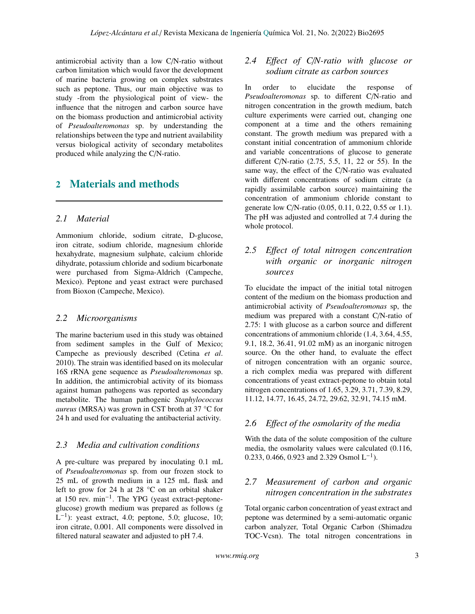antimicrobial activity than a low C/N-ratio without carbon limitation which would favor the development of marine bacteria growing on complex substrates such as peptone. Thus, our main objective was to study -from the physiological point of view- the influence that the nitrogen and carbon source have on the biomass production and antimicrobial activity of *Pseudoalteromonas* sp. by understanding the relationships between the type and nutrient availability versus biological activity of secondary metabolites produced while analyzing the C/N-ratio.

## 2 Materials and methods

#### *2.1 Material*

Ammonium chloride, sodium citrate, D-glucose, iron citrate, sodium chloride, magnesium chloride hexahydrate, magnesium sulphate, calcium chloride dihydrate, potassium chloride and sodium bicarbonate were purchased from Sigma-Aldrich (Campeche, Mexico). Peptone and yeast extract were purchased from Bioxon (Campeche, Mexico).

#### *2.2 Microorganisms*

The marine bacterium used in this study was obtained from sediment samples in the Gulf of Mexico; Campeche as previously described (Cetina *et al*. 2010). The strain was identified based on its molecular 16S rRNA gene sequence as *Pseudoalteromonas* sp. In addition, the antimicrobial activity of its biomass against human pathogens was reported as secondary metabolite. The human pathogenic *Staphylococcus aureus* (MRSA) was grown in CST broth at 37 °C for 24 h and used for evaluating the antibacterial activity.

#### *2.3 Media and cultivation conditions*

A pre-culture was prepared by inoculating 0.1 mL of *Pseudoalteromonas* sp. from our frozen stock to 25 mL of growth medium in a 125 mL flask and left to grow for 24 h at 28 °C on an orbital shaker at 150 rev. min−<sup>1</sup> . The YPG (yeast extract-peptoneglucose) growth medium was prepared as follows (g  $L^{-1}$ ): yeast extract, 4.0; peptone, 5.0; glucose, 10; iron citrate, 0.001. All components were dissolved in filtered natural seawater and adjusted to pH 7.4.

### *2.4 E*ff*ect of C*/*N-ratio with glucose or sodium citrate as carbon sources*

In order to elucidate the response of *Pseudoalteromonas* sp. to different C/N-ratio and nitrogen concentration in the growth medium, batch culture experiments were carried out, changing one component at a time and the others remaining constant. The growth medium was prepared with a constant initial concentration of ammonium chloride and variable concentrations of glucose to generate different C/N-ratio (2.75, 5.5, 11, 22 or 55). In the same way, the effect of the C/N-ratio was evaluated with different concentrations of sodium citrate (a rapidly assimilable carbon source) maintaining the concentration of ammonium chloride constant to generate low C/N-ratio (0.05, 0.11, 0.22, 0.55 or 1.1). The pH was adjusted and controlled at 7.4 during the whole protocol.

### *2.5 E*ff*ect of total nitrogen concentration with organic or inorganic nitrogen sources*

To elucidate the impact of the initial total nitrogen content of the medium on the biomass production and antimicrobial activity of *Pseudoalteromonas* sp, the medium was prepared with a constant C/N-ratio of 2.75: 1 with glucose as a carbon source and different concentrations of ammonium chloride (1.4, 3.64, 4.55, 9.1, 18.2, 36.41, 91.02 mM) as an inorganic nitrogen source. On the other hand, to evaluate the effect of nitrogen concentration with an organic source, a rich complex media was prepared with different concentrations of yeast extract-peptone to obtain total nitrogen concentrations of 1.65, 3.29, 3.71, 7.39, 8.29, 11.12, 14.77, 16.45, 24.72, 29.62, 32.91, 74.15 mM.

#### *2.6 E*ff*ect of the osmolarity of the media*

With the data of the solute composition of the culture media, the osmolarity values were calculated (0.116, 0.233, 0.466, 0.923 and 2.329 Osmol  $L^{-1}$ ).

### *2.7 Measurement of carbon and organic nitrogen concentration in the substrates*

Total organic carbon concentration of yeast extract and peptone was determined by a semi-automatic organic carbon analyzer, Total Organic Carbon (Shimadzu TOC-Vcsn). The total nitrogen concentrations in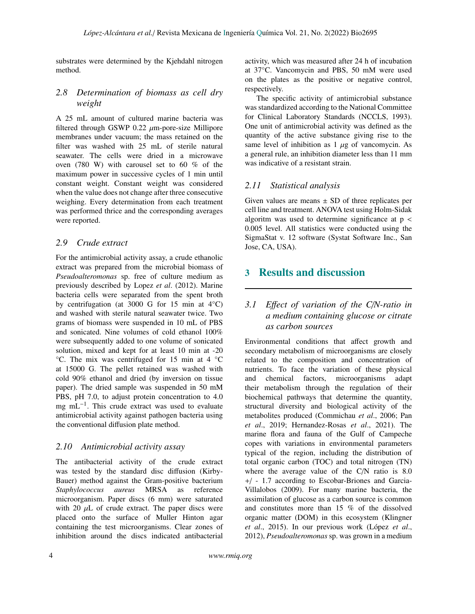substrates were determined by the Kjehdahl nitrogen method.

### *2.8 Determination of biomass as cell dry weight*

A 25 mL amount of cultured marine bacteria was filtered through GSWP  $0.22 \mu$ m-pore-size Millipore membranes under vacuum; the mass retained on the filter was washed with 25 mL of sterile natural seawater. The cells were dried in a microwave oven (780 W) with carousel set to 60 % of the maximum power in successive cycles of 1 min until constant weight. Constant weight was considered when the value does not change after three consecutive weighing. Every determination from each treatment was performed thrice and the corresponding averages were reported.

#### *2.9 Crude extract*

For the antimicrobial activity assay, a crude ethanolic extract was prepared from the microbial biomass of *Pseudoalteromonas* sp. free of culture medium as previously described by Lopez *et al*. (2012). Marine bacteria cells were separated from the spent broth by centrifugation (at 3000 G for 15 min at  $4^{\circ}$ C) and washed with sterile natural seawater twice. Two grams of biomass were suspended in 10 mL of PBS and sonicated. Nine volumes of cold ethanol 100% were subsequently added to one volume of sonicated solution, mixed and kept for at least 10 min at -20 °C. The mix was centrifuged for 15 min at 4 °C at 15000 G. The pellet retained was washed with cold 90% ethanol and dried (by inversion on tissue paper). The dried sample was suspended in 50 mM PBS, pH 7.0, to adjust protein concentration to 4.0 mg mL<sup>-1</sup>. This crude extract was used to evaluate antimicrobial activity against pathogen bacteria using the conventional diffusion plate method.

#### *2.10 Antimicrobial activity assay*

The antibacterial activity of the crude extract was tested by the standard disc diffusion (Kirby-Bauer) method against the Gram-positive bacterium *Staphylococcus aureus* MRSA as reference microorganism. Paper discs (6 mm) were saturated with 20  $\mu$ L of crude extract. The paper discs were placed onto the surface of Muller Hinton agar containing the test microorganisms. Clear zones of inhibition around the discs indicated antibacterial

activity, which was measured after 24 h of incubation at 37°C. Vancomycin and PBS, 50 mM were used on the plates as the positive or negative control, respectively.

The specific activity of antimicrobial substance was standardized according to the National Committee for Clinical Laboratory Standards (NCCLS, 1993). One unit of antimicrobial activity was defined as the quantity of the active substance giving rise to the same level of inhibition as  $1 \mu$ g of vancomycin. As a general rule, an inhibition diameter less than 11 mm was indicative of a resistant strain.

#### *2.11 Statistical analysis*

Given values are means  $\pm$  SD of three replicates per cell line and treatment. ANOVA test using Holm-Sidak algoritm was used to determine significance at  $p \lt$ 0.005 level. All statistics were conducted using the SigmaStat v. 12 software (Systat Software Inc., San Jose, CA, USA).

## 3 Results and discussion

### *3.1 E*ff*ect of variation of the C*/*N-ratio in a medium containing glucose or citrate as carbon sources*

Environmental conditions that affect growth and secondary metabolism of microorganisms are closely related to the composition and concentration of nutrients. To face the variation of these physical and chemical factors, microorganisms adapt their metabolism through the regulation of their biochemical pathways that determine the quantity, structural diversity and biological activity of the metabolites produced (Commichau *et al*., 2006; Pan *et al*., 2019; Hernandez-Rosas *et al*., 2021). The marine flora and fauna of the Gulf of Campeche copes with variations in environmental parameters typical of the region, including the distribution of total organic carbon (TOC) and total nitrogen (TN) where the average value of the C/N ratio is 8.0 +/ - 1.7 according to Escobar-Briones and Garcia-Villalobos (2009). For many marine bacteria, the assimilation of glucose as a carbon source is common and constitutes more than 15 % of the dissolved organic matter (DOM) in this ecosystem (Klingner *et al*., 2015). In our previous work (López *et al*., 2012), *Pseudoalteromonas* sp. was grown in a medium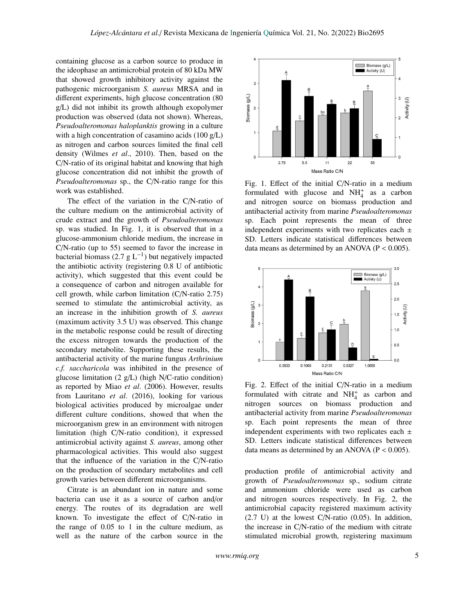containing glucose as a carbon source to produce in the ideophase an antimicrobial protein of 80 kDa MW that showed growth inhibitory activity against the pathogenic microorganism *S. aureus* MRSA and in different experiments, high glucose concentration (80 g/L) did not inhibit its growth although exopolymer production was observed (data not shown). Whereas, *Pseudoalteromonas haloplanktis* growing in a culture with a high concentration of casamino acids (100 g/L) as nitrogen and carbon sources limited the final cell density (Wilmes *et al*., 2010). Then, based on the C/N-ratio of its original habitat and knowing that high glucose concentration did not inhibit the growth of *Pseudoalteromonas* sp., the C/N-ratio range for this work was established.

The effect of the variation in the C/N-ratio of the culture medium on the antimicrobial activity of crude extract and the growth of *Pseudoalteromonas* sp. was studied. In Fig. 1, it is observed that in a glucose-ammonium chloride medium, the increase in C/N-ratio (up to 55) seemed to favor the increase in bacterial biomass (2.7  $g L^{-1}$ ) but negatively impacted the antibiotic activity (registering 0.8 U of antibiotic activity), which suggested that this event could be a consequence of carbon and nitrogen available for cell growth, while carbon limitation (C/N-ratio 2.75) seemed to stimulate the antimicrobial activity, as an increase in the inhibition growth of *S. aureus* (maximum activity 3.5 U) was observed. This change in the metabolic response could be result of directing the excess nitrogen towards the production of the secondary metabolite. Supporting these results, the antibacterial activity of the marine fungus *Arthrinium c.f. saccharicola* was inhibited in the presence of glucose limitation  $(2 g/L)$  (high N/C-ratio condition) as reported by Miao *et al*. (2006). However, results from Lauritano *et al*. (2016), looking for various biological activities produced by microalgae under different culture conditions, showed that when the microorganism grew in an environment with nitrogen limitation (high C/N-ratio condition), it expressed antimicrobial activity against *S. aureus*, among other pharmacological activities. This would also suggest that the influence of the variation in the C/N-ratio on the production of secondary metabolites and cell growth varies between different microorganisms.

Citrate is an abundant ion in nature and some bacteria can use it as a source of carbon and/or energy. The routes of its degradation are well known. To investigate the effect of C/N-ratio in the range of 0.05 to 1 in the culture medium, as well as the nature of the carbon source in the



Fig. 1. Effect of the initial C/N-ratio in a medium formulated with glucose and  $NH<sub>4</sub><sup>+</sup>$  as a carbon and nitrogen source on biomass production and antibacterial activity from marine *Pseudoalteromonas* sp. Each point represents the mean of three independent experiments with two replicates each  $\pm$ SD. Letters indicate statistical differences between data means as determined by an ANOVA ( $P < 0.005$ ).



Fig. 2. Effect of the initial C/N-ratio in a medium formulated with citrate and  $NH_4^+$  as carbon and nitrogen sources on biomass production and antibacterial activity from marine *Pseudoalteromonas* sp. Each point represents the mean of three independent experiments with two replicates each  $\pm$ SD. Letters indicate statistical differences between data means as determined by an ANOVA ( $P < 0.005$ ).

production profile of antimicrobial activity and growth of *Pseudoalteromonas* sp., sodium citrate and ammonium chloride were used as carbon and nitrogen sources respectively. In Fig. 2, the antimicrobial capacity registered maximum activity  $(2.7 \text{ U})$  at the lowest C/N-ratio  $(0.05)$ . In addition, the increase in C/N-ratio of the medium with citrate stimulated microbial growth, registering maximum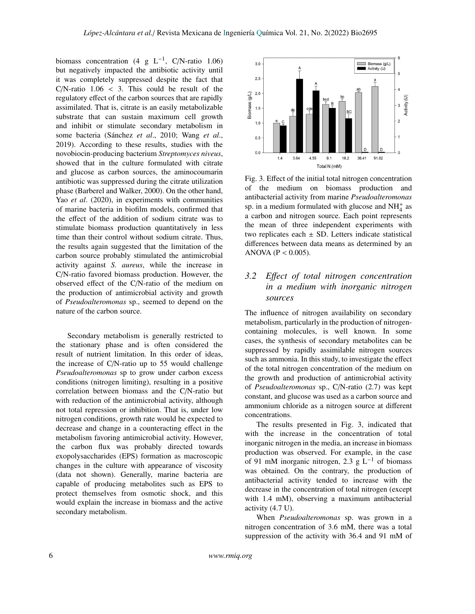biomass concentration (4 g  $L^{-1}$ , C/N-ratio 1.06) but negatively impacted the antibiotic activity until it was completely suppressed despite the fact that  $C/N$ -ratio  $1.06 < 3$ . This could be result of the regulatory effect of the carbon sources that are rapidly assimilated. That is, citrate is an easily metabolizable substrate that can sustain maximum cell growth and inhibit or stimulate secondary metabolism in some bacteria (Sánchez *et al*., 2010; Wang *et al*., 2019). According to these results, studies with the novobiocin-producing bacterium *Streptomyces niveus*, showed that in the culture formulated with citrate and glucose as carbon sources, the aminocoumarin antibiotic was suppressed during the citrate utilization phase (Barberel and Walker, 2000). On the other hand, Yao *et al*. (2020), in experiments with communities of marine bacteria in biofilm models, confirmed that the effect of the addition of sodium citrate was to stimulate biomass production quantitatively in less time than their control without sodium citrate. Thus, the results again suggested that the limitation of the carbon source probably stimulated the antimicrobial activity against *S. aureus*, while the increase in C/N-ratio favored biomass production. However, the observed effect of the C/N-ratio of the medium on the production of antimicrobial activity and growth of *Pseudoalteromonas* sp., seemed to depend on the nature of the carbon source.

Secondary metabolism is generally restricted to the stationary phase and is often considered the result of nutrient limitation. In this order of ideas, the increase of C/N-ratio up to 55 would challenge *Pseudoalteromonas* sp to grow under carbon excess conditions (nitrogen limiting), resulting in a positive correlation between biomass and the C/N-ratio but with reduction of the antimicrobial activity, although not total repression or inhibition. That is, under low nitrogen conditions, growth rate would be expected to decrease and change in a counteracting effect in the metabolism favoring antimicrobial activity. However, the carbon flux was probably directed towards exopolysaccharides (EPS) formation as macroscopic changes in the culture with appearance of viscosity (data not shown). Generally, marine bacteria are capable of producing metabolites such as EPS to protect themselves from osmotic shock, and this would explain the increase in biomass and the active secondary metabolism.



Fig. 3. Effect of the initial total nitrogen concentration of the medium on biomass production and antibacterial activity from marine *Pseudoalteromonas* sp. in a medium formulated with glucose and  $NH<sub>4</sub><sup>+</sup>$  as a carbon and nitrogen source. Each point represents the mean of three independent experiments with two replicates each  $\pm$  SD. Letters indicate statistical differences between data means as determined by an ANOVA ( $P < 0.005$ ).

## *3.2 E*ff*ect of total nitrogen concentration in a medium with inorganic nitrogen sources*

The influence of nitrogen availability on secondary metabolism, particularly in the production of nitrogencontaining molecules, is well known. In some cases, the synthesis of secondary metabolites can be suppressed by rapidly assimilable nitrogen sources such as ammonia. In this study, to investigate the effect of the total nitrogen concentration of the medium on the growth and production of antimicrobial activity of *Pseudoalteromonas* sp., C/N-ratio (2.7) was kept constant, and glucose was used as a carbon source and ammonium chloride as a nitrogen source at different concentrations.

The results presented in Fig. 3, indicated that with the increase in the concentration of total inorganic nitrogen in the media, an increase in biomass production was observed. For example, in the case of 91 mM inorganic nitrogen, 2.3 g  $L^{-1}$  of biomass was obtained. On the contrary, the production of antibacterial activity tended to increase with the decrease in the concentration of total nitrogen (except with 1.4 mM), observing a maximum antibacterial activity (4.7 U).

When *Pseudoalteromonas* sp. was grown in a nitrogen concentration of 3.6 mM, there was a total suppression of the activity with 36.4 and 91 mM of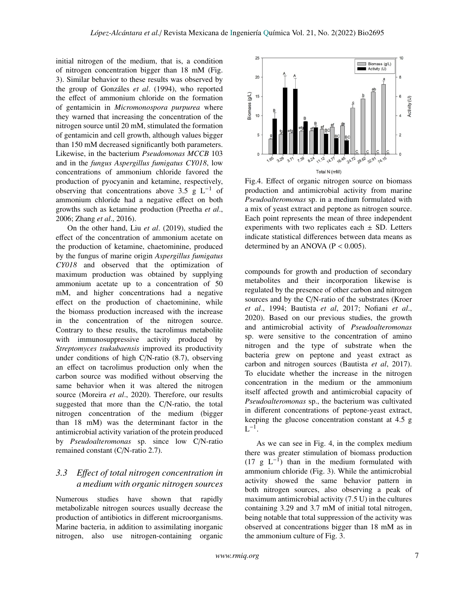initial nitrogen of the medium, that is, a condition of nitrogen concentration bigger than 18 mM (Fig. 3). Similar behavior to these results was observed by the group of Gonzáles *et al*. (1994), who reported the effect of ammonium chloride on the formation of gentamicin in *Micromonospora purpurea* where they warned that increasing the concentration of the nitrogen source until 20 mM, stimulated the formation of gentamicin and cell growth, although values bigger than 150 mM decreased significantly both parameters. Likewise, in the bacterium *Pseudomonas MCCB* 103 and in the *fungus Aspergillus fumigatus CY018*, low concentrations of ammonium chloride favored the production of pyocyanin and ketamine, respectively, observing that concentrations above 3.5 g  $L^{-1}$  of ammonium chloride had a negative effect on both growths such as ketamine production (Preetha *et al*., 2006; Zhang *et al*., 2016).

On the other hand, Liu *et al*. (2019), studied the effect of the concentration of ammonium acetate on the production of ketamine, chaetominine, produced by the fungus of marine origin *Aspergillus fumigatus CY018* and observed that the optimization of maximum production was obtained by supplying ammonium acetate up to a concentration of 50 mM, and higher concentrations had a negative effect on the production of chaetominine, while the biomass production increased with the increase in the concentration of the nitrogen source. Contrary to these results, the tacrolimus metabolite with immunosuppressive activity produced by *Streptomyces tsukubaensis* improved its productivity under conditions of high C/N-ratio (8.7), observing an effect on tacrolimus production only when the carbon source was modified without observing the same behavior when it was altered the nitrogen source (Moreira *et al*., 2020). Therefore, our results suggested that more than the C/N-ratio, the total nitrogen concentration of the medium (bigger than 18 mM) was the determinant factor in the antimicrobial activity variation of the protein produced by *Pseudoalteromonas* sp. since low C/N-ratio remained constant (C/N-ratio 2.7).

### *3.3 E*ff*ect of total nitrogen concentration in a medium with organic nitrogen sources*

Numerous studies have shown that rapidly metabolizable nitrogen sources usually decrease the production of antibiotics in different microorganisms. Marine bacteria, in addition to assimilating inorganic nitrogen, also use nitrogen-containing organic



Fig.4. Effect of organic nitrogen source on biomass production and antimicrobial activity from marine *Pseudoalteromonas* sp. in a medium formulated with a mix of yeast extract and peptone as nitrogen source. Each point represents the mean of three independent experiments with two replicates each  $\pm$  SD. Letters indicate statistical differences between data means as determined by an ANOVA ( $P < 0.005$ ).

compounds for growth and production of secondary metabolites and their incorporation likewise is regulated by the presence of other carbon and nitrogen sources and by the C/N-ratio of the substrates (Kroer *et al*., 1994; Bautista *et al*, 2017; Nofiani *et al*., 2020). Based on our previous studies, the growth and antimicrobial activity of *Pseudoalteromonas* sp. were sensitive to the concentration of amino nitrogen and the type of substrate when the bacteria grew on peptone and yeast extract as carbon and nitrogen sources (Bautista *et al*, 2017). To elucidate whether the increase in the nitrogen concentration in the medium or the ammonium itself affected growth and antimicrobial capacity of *Pseudoalteromonas* sp., the bacterium was cultivated in different concentrations of peptone-yeast extract, keeping the glucose concentration constant at 4.5 g  $L^{-1}$ .

As we can see in Fig. 4, in the complex medium there was greater stimulation of biomass production  $(17 \text{ g } L^{-1})$  than in the medium formulated with ammonium chloride (Fig. 3). While the antimicrobial activity showed the same behavior pattern in both nitrogen sources, also observing a peak of maximum antimicrobial activity (7.5 U) in the cultures containing 3.29 and 3.7 mM of initial total nitrogen, being notable that total suppression of the activity was observed at concentrations bigger than 18 mM as in the ammonium culture of Fig. 3.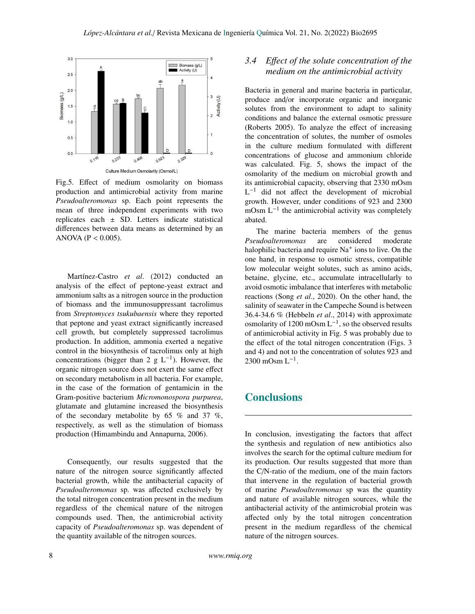

Fig.5. Effect of medium osmolarity on biomass production and antimicrobial activity from marine *Pseudoalteromonas* sp. Each point represents the mean of three independent experiments with two replicates each  $\pm$  SD. Letters indicate statistical differences between data means as determined by an ANOVA ( $P < 0.005$ ).

Martínez-Castro *et al*. (2012) conducted an analysis of the effect of peptone-yeast extract and ammonium salts as a nitrogen source in the production of biomass and the immunosuppressant tacrolimus from *Streptomyces tsukubaensis* where they reported that peptone and yeast extract significantly increased cell growth, but completely suppressed tacrolimus production. In addition, ammonia exerted a negative control in the biosynthesis of tacrolimus only at high concentrations (bigger than 2 g  $L^{-1}$ ). However, the organic nitrogen source does not exert the same effect on secondary metabolism in all bacteria. For example, in the case of the formation of gentamicin in the Gram-positive bacterium *Micromonospora purpurea*, glutamate and glutamine increased the biosynthesis of the secondary metabolite by 65  $\%$  and 37  $\%$ , respectively, as well as the stimulation of biomass production (Himambindu and Annapurna, 2006).

Consequently, our results suggested that the nature of the nitrogen source significantly affected bacterial growth, while the antibacterial capacity of *Pseudoalteromonas* sp. was affected exclusively by the total nitrogen concentration present in the medium regardless of the chemical nature of the nitrogen compounds used. Then, the antimicrobial activity capacity of *Pseudoalteromonas* sp. was dependent of the quantity available of the nitrogen sources.

## *3.4 E*ff*ect of the solute concentration of the medium on the antimicrobial activity*

Bacteria in general and marine bacteria in particular, produce and/or incorporate organic and inorganic solutes from the environment to adapt to salinity conditions and balance the external osmotic pressure (Roberts 2005). To analyze the effect of increasing the concentration of solutes, the number of osmoles in the culture medium formulated with different concentrations of glucose and ammonium chloride was calculated. Fig. 5, shows the impact of the osmolarity of the medium on microbial growth and its antimicrobial capacity, observing that 2330 mOsm  $L^{-1}$  did not affect the development of microbial growth. However, under conditions of 923 and 2300 mOsm L<sup>-1</sup> the antimicrobial activity was completely abated.

The marine bacteria members of the genus *Pseudoalteromonas* are considered moderate halophilic bacteria and require Na<sup>+</sup> ions to live. On the one hand, in response to osmotic stress, compatible low molecular weight solutes, such as amino acids, betaine, glycine, etc., accumulate intracellularly to avoid osmotic imbalance that interferes with metabolic reactions (Song *et al*., 2020). On the other hand, the salinity of seawater in the Campeche Sound is between 36.4-34.6 % (Hebbeln *et al*., 2014) with approximate osmolarity of 1200 mOsm  $L^{-1}$ , so the observed results of antimicrobial activity in Fig. 5 was probably due to the effect of the total nitrogen concentration (Figs. 3 and 4) and not to the concentration of solutes 923 and  $2300 \text{ mOsm L}^{-1}$ .

## **Conclusions**

In conclusion, investigating the factors that affect the synthesis and regulation of new antibiotics also involves the search for the optimal culture medium for its production. Our results suggested that more than the C/N-ratio of the medium, one of the main factors that intervene in the regulation of bacterial growth of marine *Pseudoalteromonas* sp was the quantity and nature of available nitrogen sources, while the antibacterial activity of the antimicrobial protein was affected only by the total nitrogen concentration present in the medium regardless of the chemical nature of the nitrogen sources.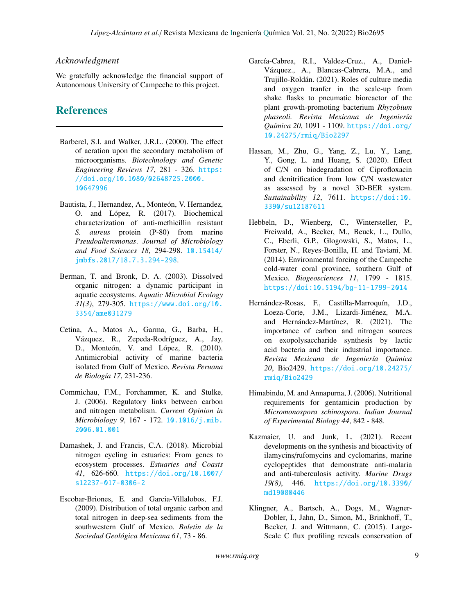#### *Acknowledgment*

We gratefully acknowledge the financial support of Autonomous University of Campeche to this project.

## **References**

- Barberel, S.I. and Walker, J.R.L. (2000). The effect of aeration upon the secondary metabolism of microorganisms. *Biotechnology and Genetic Engineering Reviews 17*, 281 - 326. [https:](https://doi.org/10.1080/02648725.2000.10647996) [//doi.org/10.1080/02648725.2000.](https://doi.org/10.1080/02648725.2000.10647996) [10647996](https://doi.org/10.1080/02648725.2000.10647996)
- Bautista, J., Hernandez, A., Monteón, V. Hernandez, O. and López, R. (2017). Biochemical characterization of anti-methicillin resistant *S. aureus* protein (P-80) from marine *Pseudoalteromonas*. *Journal of Microbiology and Food Sciences 18*, 294-298. [10.15414/](10.15414/jmbfs.2017/18.7.3.294-298) [jmbfs.2017/18.7.3.294-298](10.15414/jmbfs.2017/18.7.3.294-298).
- Berman, T. and Bronk, D. A. (2003). Dissolved organic nitrogen: a dynamic participant in aquatic ecosystems. *Aquatic Microbial Ecology 31(3)*, 279-305. [https://www.doi.org/10.](https://www.doi.org/10.3354/ame031279) [3354/ame031279](https://www.doi.org/10.3354/ame031279)
- Cetina, A., Matos A., Garma, G., Barba, H., Vázquez, R., Zepeda-Rodríguez, A., Jay, D., Monteón, V. and López, R. (2010). Antimicrobial activity of marine bacteria isolated from Gulf of Mexico. *Revista Peruana de Biología 17*, 231-236.
- Commichau, F.M., Forchammer, K. and Stulke, J. (2006). Regulatory links between carbon and nitrogen metabolism. *Current Opinion in Microbiology 9*, 167 - 172. [10.1016/j.mib.](10.1016/j.mib.2006.01.001) [2006.01.001](10.1016/j.mib.2006.01.001)
- Damashek, J. and Francis, C.A. (2018). Microbial nitrogen cycling in estuaries: From genes to ecosystem processes. *Estuaries and Coasts 41*, 626-660. [https://doi.org/10.1007/](https://doi.org/10.1007/s12237-017-0306-2) [s12237-017-0306-2](https://doi.org/10.1007/s12237-017-0306-2)
- Escobar-Briones, E. and Garcia-Villalobos, F.J. (2009). Distribution of total organic carbon and total nitrogen in deep-sea sediments from the southwestern Gulf of Mexico. *Boletin de la Sociedad Geológica Mexicana 61*, 73 - 86.
- García-Cabrea, R.I., Valdez-Cruz., A., Daniel-Vázquez., A., Blancas-Cabrera, M.A., and Trujillo-Roldán. (2021). Roles of culture media and oxygen tranfer in the scale-up from shake flasks to pneumatic bioreactor of the plant growth-promoting bacterium *Rhyzobium phaseoli. Revista Mexicana de Ingeniería Química 20*, 1091 - 1109. [https://doi.org/](https://doi.org/10.24275/rmiq/Bio2297) [10.24275/rmiq/Bio2297](https://doi.org/10.24275/rmiq/Bio2297)
- Hassan, M., Zhu, G., Yang, Z., Lu, Y., Lang, Y., Gong, L. and Huang, S. (2020). Effect of C/N on biodegradation of Ciprofloxacin and denitrification from low C/N wastewater as assessed by a novel 3D-BER system. *Sustainability 12*, 7611. [https://doi:10.](https://doi:10.3390/su12187611) [3390/su12187611](https://doi:10.3390/su12187611)
- Hebbeln, D., Wienberg, C., Wintersteller, P., Freiwald, A., Becker, M., Beuck, L., Dullo, C., Eberli, G.P., Glogowski, S., Matos, L., Forster, N., Reyes-Bonilla, H. and Taviani, M. (2014). Environmental forcing of the Campeche cold-water coral province, southern Gulf of Mexico. *Biogeosciences 11*, 1799 - 1815. <https://doi:10.5194/bg-11-1799-2014>
- Hernández-Rosas, F., Castilla-Marroquín, J.D., Loeza-Corte, J.M., Lizardi-Jiménez, M.A. and Hernández-Martínez, R. (2021). The importance of carbon and nitrogen sources on exopolysaccharide synthesis by lactic acid bacteria and their industrial importance. *Revista Mexicana de Ingeniería Química 20*, Bio2429. [https://doi.org/10.24275/](https://doi.org/10.24275/rmiq/Bio2429) [rmiq/Bio2429](https://doi.org/10.24275/rmiq/Bio2429)
- Himabindu, M. and Annapurna, J. (2006). Nutritional requirements for gentamicin production by *Micromonospora schinospora. Indian Journal of Experimental Biology 44*, 842 - 848.
- Kazmaier, U. and Junk, L. (2021). Recent developments on the synthesis and bioactivity of ilamycins/rufomycins and cyclomarins, marine cyclopeptides that demonstrate anti-malaria and anti-tuberculosis activity. *Marine Drugs 19(8)*, 446. [https://doi.org/10.3390/](https://doi.org/10.3390/md19080446) [md19080446](https://doi.org/10.3390/md19080446)
- Klingner, A., Bartsch, A., Dogs, M., Wagner-Dobler, I., Jahn, D., Simon, M., Brinkhoff, T., Becker, J. and Wittmann, C. (2015). Large-Scale C flux profiling reveals conservation of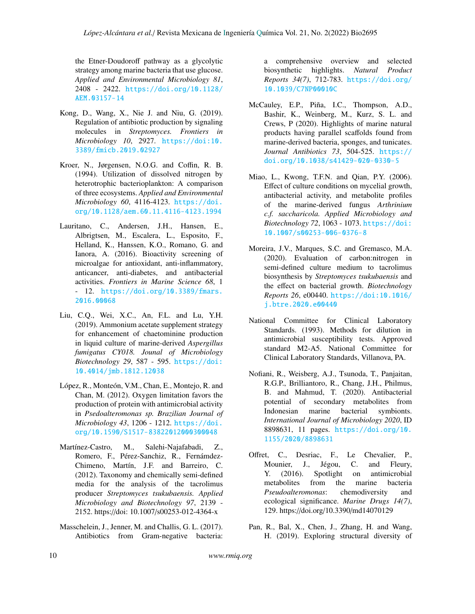the Etner-Doudoroff pathway as a glycolytic strategy among marine bacteria that use glucose. *Applied and Environmental Microbiology 81*, 2408 - 2422. [https://doi.org/10.1128/](https://doi.org/10.1128/AEM.03157-14) [AEM.03157-14](https://doi.org/10.1128/AEM.03157-14)

- Kong, D., Wang, X., Nie J. and Niu, G. (2019). Regulation of antibiotic production by signaling molecules in *Streptomyces. Frontiers in Microbiology 10*, 2927. [https://doi:10.](https://doi: 10.3389/fmicb.2019.02927) [3389/fmicb.2019.02927](https://doi: 10.3389/fmicb.2019.02927)
- Kroer, N., Jørgensen, N.O.G. and Coffin, R. B. (1994). Utilization of dissolved nitrogen by heterotrophic bacterioplankton: A comparison of three ecosystems. *Applied and Environmental Microbiology 60*, 4116-4123. [https://doi.](https://doi.org/10.1128/aem.60.11.4116-4123.1994) [org/10.1128/aem.60.11.4116-4123.1994](https://doi.org/10.1128/aem.60.11.4116-4123.1994)
- Lauritano, C., Andersen, J.H., Hansen, E., Albrigtsen, M., Escalera, L., Esposito, F., Helland, K., Hanssen, K.O., Romano, G. and Ianora, A. (2016). Bioactivity screening of microalgae for antioxidant, anti-inflammatory, anticancer, anti-diabetes, and antibacterial activities. *Frontiers in Marine Science 68*, 1 - 12. [https://doi.org/10.3389/fmars.](https://doi.org/10.3389/fmars.2016.00068) [2016.00068](https://doi.org/10.3389/fmars.2016.00068)
- Liu, C.Q., Wei, X.C., An, F.L. and Lu, Y.H. (2019). Ammonium acetate supplement strategy for enhancement of chaetominine production in liquid culture of marine-derived *Aspergillus fumigatus CY018. Jounal of Microbiology Biotechnology 29*, 587 - 595. [https://doi:](https://doi: 10.4014/jmb.1812.12038) [10.4014/jmb.1812.12038](https://doi: 10.4014/jmb.1812.12038)
- López, R., Monteón, V.M., Chan, E., Montejo, R. and Chan, M. (2012). Oxygen limitation favors the production of protein with antimicrobial activity in *Psedoalteromonas sp. Brazilian Journal of Microbiology 43*, 1206 - 1212. [https://doi.](https://doi.org/10.1590/S1517-83822012000300048 ) [org/10.1590/S1517-83822012000300048](https://doi.org/10.1590/S1517-83822012000300048 )
- Martínez-Castro, M., Salehi-Najafabadi, Z., Romero, F., Pérez-Sanchiz, R., Fernámdez-Chimeno, Martín, J.F. and Barreiro, C. (2012). Taxonomy and chemically semi-defined media for the analysis of the tacrolimus producer *Streptomyces tsukubaensis. Applied Microbiology and Biotechnology 97*, 2139 - 2152. https://doi: 10.1007/s00253-012-4364-x
- Masschelein, J., Jenner, M. and Challis, G. L. (2017). Antibiotics from Gram-negative bacteria:

a comprehensive overview and selected biosynthetic highlights. *Natural Product Reports 34(7)*, 712-783. [https://doi.org/](https://doi.org/10.1039/C7NP00010C) [10.1039/C7NP00010C](https://doi.org/10.1039/C7NP00010C)

- McCauley, E.P., Piña, I.C., Thompson, A.D., Bashir, K., Weinberg, M., Kurz, S. L. and Crews, P (2020). Highlights of marine natural products having parallel scaffolds found from marine-derived bacteria, sponges, and tunicates. *Journal Antibiotics 73*, 504-525. [https://](https://doi.org/10.1038/s41429-020-0330-5) [doi.org/10.1038/s41429-020-0330-5](https://doi.org/10.1038/s41429-020-0330-5)
- Miao, L., Kwong, T.F.N. and Qian, P.Y. (2006). Effect of culture conditions on mycelial growth, antibacterial activity, and metabolite profiles of the marine-derived fungus *Arthrinium c.f. saccharicola. Applied Microbiology and Biotechnology 72*, 1063 - 1073. [https://doi:](https://doi: 10.1007/s00253-006-0376-8) [10.1007/s00253-006-0376-8](https://doi: 10.1007/s00253-006-0376-8)
- Moreira, J.V., Marques, S.C. and Gremasco, M.A. (2020). Evaluation of carbon:nitrogen in semi-defined culture medium to tacrolimus biosynthesis by *Streptomyces tsukubaensis* and the effect on bacterial growth. *Biotechnology Reports 26*, e00440. [https://doi:10.1016/](https://doi: 10.1016/j.btre.2020.e00440) [j.btre.2020.e00440](https://doi: 10.1016/j.btre.2020.e00440)
- National Committee for Clinical Laboratory Standards. (1993). Methods for dilution in antimicrobial susceptibility tests. Approved standard M2-A5. National Committee for Clinical Laboratory Standards, Villanova, PA.
- Nofiani, R., Weisberg, A.J., Tsunoda, T., Panjaitan, R.G.P., Brilliantoro, R., Chang, J.H., Philmus, B. and Mahmud, T. (2020). Antibacterial potential of secondary metabolites from Indonesian marine bacterial symbionts. *International Journal of Microbiology 2020*, ID 8898631, 11 pages. [https://doi.org/10.](https://doi.org/10.1155/2020/8898631) [1155/2020/8898631](https://doi.org/10.1155/2020/8898631)
- Offret, C., Desriac, F., Le Chevalier, P., Mounier, J., Jégou, C. and Fleury, Y. (2016). Spotlight on antimicrobial metabolites from the marine bacteria *Pseudoalteromonas*: chemodiversity and ecological significance. *Marine Drugs 14(7)*, 129. https://doi.org/10.3390/md14070129
- Pan, R., Bal, X., Chen, J., Zhang, H. and Wang, H. (2019). Exploring structural diversity of